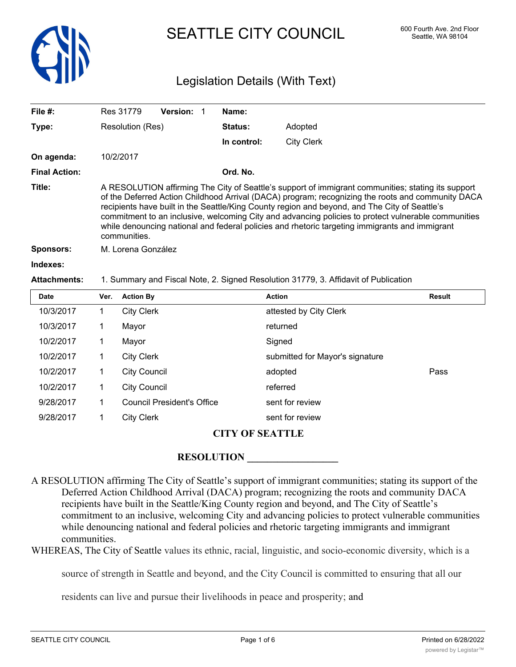

## SEATTLE CITY COUNCIL 600 Fourth Ave. 2nd Floor

### Legislation Details (With Text)

| File $#$ :           | Res 31779                                                                                                                                                                                                                                                                                                                                                                                                                                                                                                                         | <b>Version:</b> | Name:          |                   |  |  |
|----------------------|-----------------------------------------------------------------------------------------------------------------------------------------------------------------------------------------------------------------------------------------------------------------------------------------------------------------------------------------------------------------------------------------------------------------------------------------------------------------------------------------------------------------------------------|-----------------|----------------|-------------------|--|--|
| Type:                | Resolution (Res)                                                                                                                                                                                                                                                                                                                                                                                                                                                                                                                  |                 | <b>Status:</b> | Adopted           |  |  |
|                      |                                                                                                                                                                                                                                                                                                                                                                                                                                                                                                                                   |                 | In control:    | <b>City Clerk</b> |  |  |
| On agenda:           | 10/2/2017                                                                                                                                                                                                                                                                                                                                                                                                                                                                                                                         |                 |                |                   |  |  |
| <b>Final Action:</b> |                                                                                                                                                                                                                                                                                                                                                                                                                                                                                                                                   |                 | Ord. No.       |                   |  |  |
| Title:               | A RESOLUTION affirming The City of Seattle's support of immigrant communities; stating its support<br>of the Deferred Action Childhood Arrival (DACA) program; recognizing the roots and community DACA<br>recipients have built in the Seattle/King County region and beyond, and The City of Seattle's<br>commitment to an inclusive, welcoming City and advancing policies to protect vulnerable communities<br>while denouncing national and federal policies and rhetoric targeting immigrants and immigrant<br>communities. |                 |                |                   |  |  |
| <b>Sponsors:</b>     | M. Lorena González                                                                                                                                                                                                                                                                                                                                                                                                                                                                                                                |                 |                |                   |  |  |
| Indexes:             |                                                                                                                                                                                                                                                                                                                                                                                                                                                                                                                                   |                 |                |                   |  |  |
| <b>Attachments:</b>  | 1. Summary and Fiscal Note, 2. Signed Resolution 31779, 3. Affidavit of Publication                                                                                                                                                                                                                                                                                                                                                                                                                                               |                 |                |                   |  |  |
|                      |                                                                                                                                                                                                                                                                                                                                                                                                                                                                                                                                   |                 |                |                   |  |  |

| <b>Date</b> | Ver. | <b>Action By</b>                  | <b>Action</b>                   | <b>Result</b> |
|-------------|------|-----------------------------------|---------------------------------|---------------|
| 10/3/2017   |      | <b>City Clerk</b>                 | attested by City Clerk          |               |
| 10/3/2017   |      | Mayor                             | returned                        |               |
| 10/2/2017   |      | Mayor                             | Signed                          |               |
| 10/2/2017   |      | <b>City Clerk</b>                 | submitted for Mayor's signature |               |
| 10/2/2017   |      | <b>City Council</b>               | adopted                         | Pass          |
| 10/2/2017   |      | <b>City Council</b>               | referred                        |               |
| 9/28/2017   |      | <b>Council President's Office</b> | sent for review                 |               |
| 9/28/2017   |      | <b>City Clerk</b>                 | sent for review                 |               |

### **CITY OF SEATTLE**

### **RESOLUTION \_\_\_\_\_\_\_\_\_\_\_\_\_\_\_\_\_\_**

A RESOLUTION affirming The City of Seattle's support of immigrant communities; stating its support of the Deferred Action Childhood Arrival (DACA) program; recognizing the roots and community DACA recipients have built in the Seattle/King County region and beyond, and The City of Seattle's commitment to an inclusive, welcoming City and advancing policies to protect vulnerable communities while denouncing national and federal policies and rhetoric targeting immigrants and immigrant communities.

WHEREAS, The City of Seattle values its ethnic, racial, linguistic, and socio-economic diversity, which is a

source of strength in Seattle and beyond, and the City Council is committed to ensuring that all our

residents can live and pursue their livelihoods in peace and prosperity; and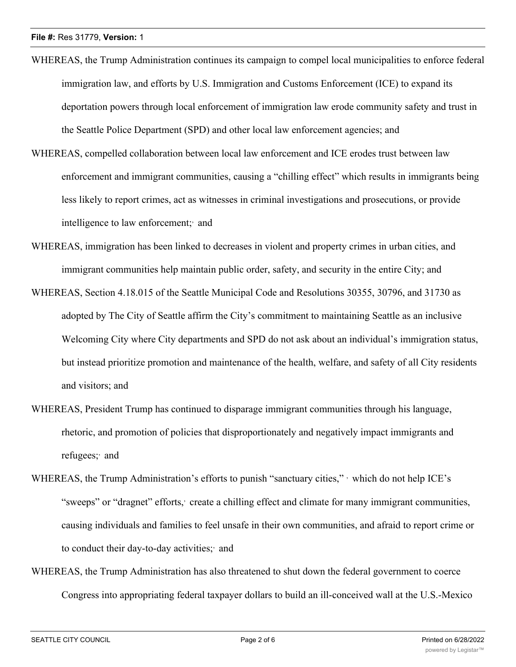- WHEREAS, the Trump Administration continues its campaign to compel local municipalities to enforce federal immigration law, and efforts by U.S. Immigration and Customs Enforcement (ICE) to expand its deportation powers through local enforcement of immigration law erode community safety and trust in the Seattle Police Department (SPD) and other local law enforcement agencies; and
- WHEREAS, compelled collaboration between local law enforcement and ICE erodes trust between law enforcement and immigrant communities, causing a "chilling effect" which results in immigrants being less likely to report crimes, act as witnesses in criminal investigations and prosecutions, or provide intelligence to law enforcement; and
- WHEREAS, immigration has been linked to decreases in violent and property crimes in urban cities, and immigrant communities help maintain public order, safety, and security in the entire City; and
- WHEREAS, Section 4.18.015 of the Seattle Municipal Code and Resolutions 30355, 30796, and 31730 as adopted by The City of Seattle affirm the City's commitment to maintaining Seattle as an inclusive Welcoming City where City departments and SPD do not ask about an individual's immigration status, but instead prioritize promotion and maintenance of the health, welfare, and safety of all City residents and visitors; and
- WHEREAS, President Trump has continued to disparage immigrant communities through his language, rhetoric, and promotion of policies that disproportionately and negatively impact immigrants and refugees; and
- WHEREAS, the Trump Administration's efforts to punish "sanctuary cities," which do not help ICE's "sweeps" or "dragnet" efforts, create a chilling effect and climate for many immigrant communities, causing individuals and families to feel unsafe in their own communities, and afraid to report crime or to conduct their day-to-day activities; and
- WHEREAS, the Trump Administration has also threatened to shut down the federal government to coerce Congress into appropriating federal taxpayer dollars to build an ill-conceived wall at the U.S.-Mexico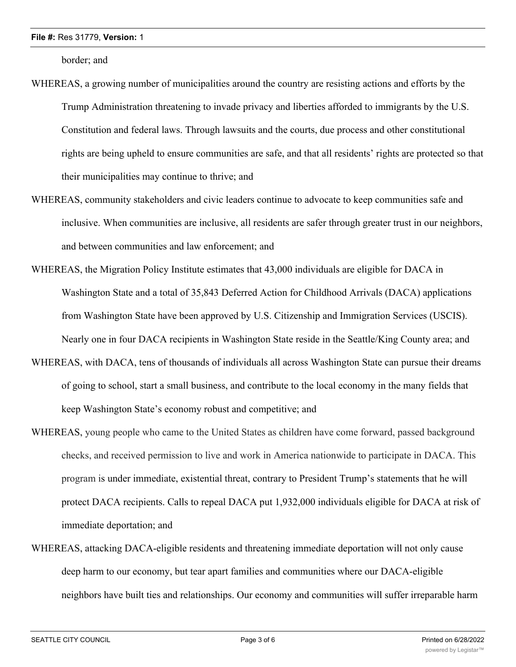#### **File #:** Res 31779, **Version:** 1

border; and

- WHEREAS, a growing number of municipalities around the country are resisting actions and efforts by the Trump Administration threatening to invade privacy and liberties afforded to immigrants by the U.S. Constitution and federal laws. Through lawsuits and the courts, due process and other constitutional rights are being upheld to ensure communities are safe, and that all residents' rights are protected so that their municipalities may continue to thrive; and
- WHEREAS, community stakeholders and civic leaders continue to advocate to keep communities safe and inclusive. When communities are inclusive, all residents are safer through greater trust in our neighbors, and between communities and law enforcement; and
- WHEREAS, the Migration Policy Institute estimates that 43,000 individuals are eligible for DACA in Washington State and a total of 35,843 Deferred Action for Childhood Arrivals (DACA) applications from Washington State have been approved by U.S. Citizenship and Immigration Services (USCIS). Nearly one in four DACA recipients in Washington State reside in the Seattle/King County area; and
- WHEREAS, with DACA, tens of thousands of individuals all across Washington State can pursue their dreams of going to school, start a small business, and contribute to the local economy in the many fields that keep Washington State's economy robust and competitive; and
- WHEREAS, young people who came to the United States as children have come forward, passed background checks, and received permission to live and work in America nationwide to participate in DACA. This program is under immediate, existential threat, contrary to President Trump's statements that he will protect DACA recipients. Calls to repeal DACA put 1,932,000 individuals eligible for DACA at risk of immediate deportation; and
- WHEREAS, attacking DACA-eligible residents and threatening immediate deportation will not only cause deep harm to our economy, but tear apart families and communities where our DACA-eligible neighbors have built ties and relationships. Our economy and communities will suffer irreparable harm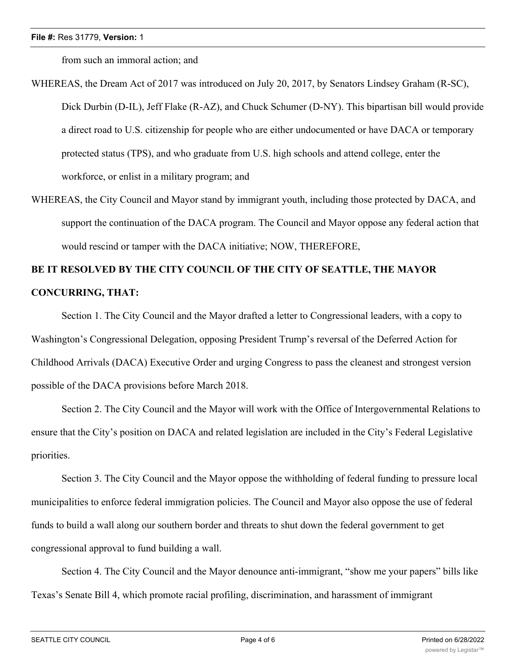from such an immoral action; and

- WHEREAS, the Dream Act of 2017 was introduced on July 20, 2017, by Senators Lindsey Graham (R-SC), Dick Durbin (D-IL), Jeff Flake (R-AZ), and Chuck Schumer (D-NY). This bipartisan bill would provide a direct road to U.S. citizenship for people who are either undocumented or have DACA or temporary protected status (TPS), and who graduate from U.S. high schools and attend college, enter the workforce, or enlist in a military program; and
- WHEREAS, the City Council and Mayor stand by immigrant youth, including those protected by DACA, and support the continuation of the DACA program. The Council and Mayor oppose any federal action that would rescind or tamper with the DACA initiative; NOW, THEREFORE,

# **BE IT RESOLVED BY THE CITY COUNCIL OF THE CITY OF SEATTLE, THE MAYOR CONCURRING, THAT:**

Section 1. The City Council and the Mayor drafted a letter to Congressional leaders, with a copy to Washington's Congressional Delegation, opposing President Trump's reversal of the Deferred Action for Childhood Arrivals (DACA) Executive Order and urging Congress to pass the cleanest and strongest version possible of the DACA provisions before March 2018.

Section 2. The City Council and the Mayor will work with the Office of Intergovernmental Relations to ensure that the City's position on DACA and related legislation are included in the City's Federal Legislative priorities.

Section 3. The City Council and the Mayor oppose the withholding of federal funding to pressure local municipalities to enforce federal immigration policies. The Council and Mayor also oppose the use of federal funds to build a wall along our southern border and threats to shut down the federal government to get congressional approval to fund building a wall.

Section 4. The City Council and the Mayor denounce anti-immigrant, "show me your papers" bills like Texas's Senate Bill 4, which promote racial profiling, discrimination, and harassment of immigrant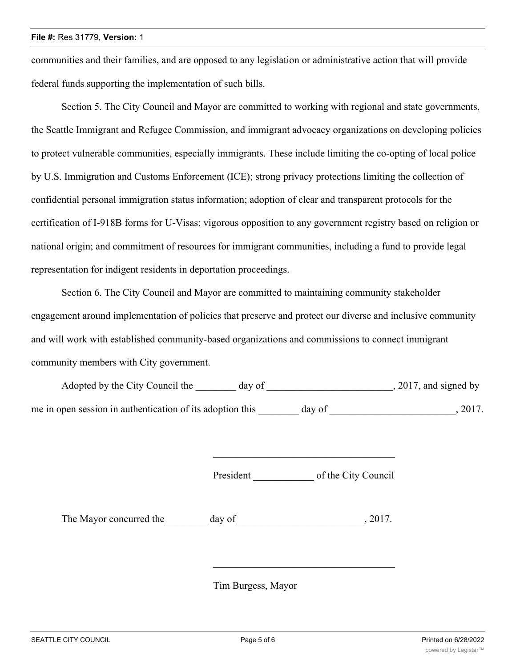communities and their families, and are opposed to any legislation or administrative action that will provide federal funds supporting the implementation of such bills.

Section 5. The City Council and Mayor are committed to working with regional and state governments, the Seattle Immigrant and Refugee Commission, and immigrant advocacy organizations on developing policies to protect vulnerable communities, especially immigrants. These include limiting the co-opting of local police by U.S. Immigration and Customs Enforcement (ICE); strong privacy protections limiting the collection of confidential personal immigration status information; adoption of clear and transparent protocols for the certification of I-918B forms for U-Visas; vigorous opposition to any government registry based on religion or national origin; and commitment of resources for immigrant communities, including a fund to provide legal representation for indigent residents in deportation proceedings.

Section 6. The City Council and Mayor are committed to maintaining community stakeholder engagement around implementation of policies that preserve and protect our diverse and inclusive community and will work with established community-based organizations and commissions to connect immigrant community members with City government.

| Adopted by the City Council the                           | day of | $, 2017$ , and signed by |
|-----------------------------------------------------------|--------|--------------------------|
| me in open session in authentication of its adoption this | day of | 2017.                    |

President of the City Council

\_\_\_\_\_\_\_\_\_\_\_\_\_\_\_\_\_\_\_\_\_\_\_\_\_\_\_\_\_\_\_\_\_\_\_\_

The Mayor concurred the day of the  $\sim 2017$ .

Tim Burgess, Mayor